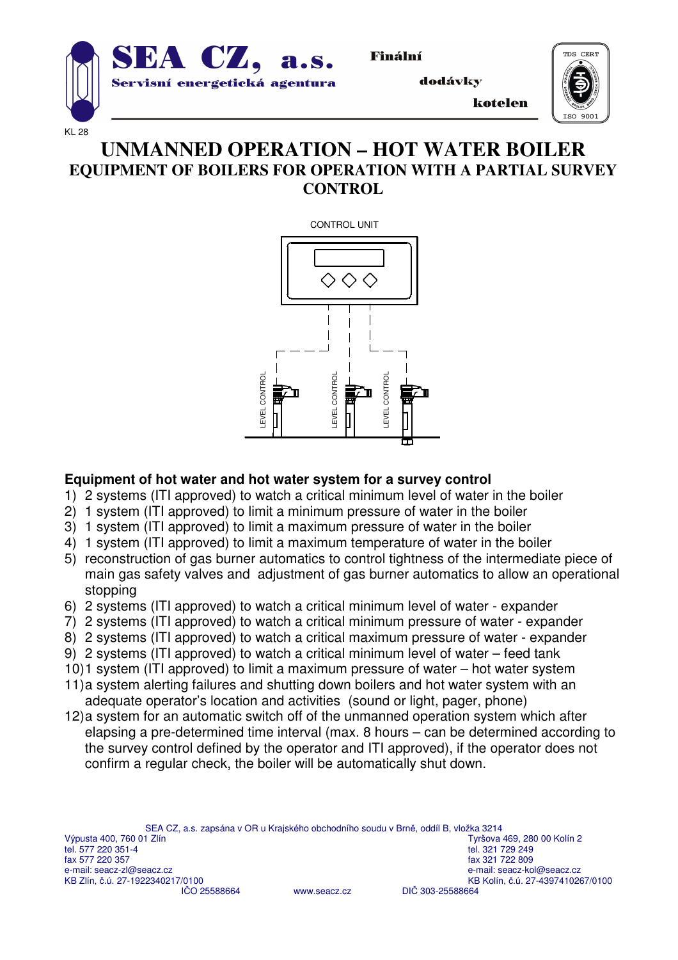

Finální

dodávky

kotelen



#### KL 28

# **UNMANNED OPERATION – HOT WATER BOILER EQUIPMENT OF BOILERS FOR OPERATION WITH A PARTIAL SURVEY CONTROL**



### **Equipment of hot water and hot water system for a survey control**

- 1) 2 systems (ITI approved) to watch a critical minimum level of water in the boiler
- 2) 1 system (ITI approved) to limit a minimum pressure of water in the boiler
- 3) 1 system (ITI approved) to limit a maximum pressure of water in the boiler
- 4) 1 system (ITI approved) to limit a maximum temperature of water in the boiler
- 5) reconstruction of gas burner automatics to control tightness of the intermediate piece of main gas safety valves and adjustment of gas burner automatics to allow an operational stopping
- 6) 2 systems (ITI approved) to watch a critical minimum level of water expander
- 7) 2 systems (ITI approved) to watch a critical minimum pressure of water expander
- 8) 2 systems (ITI approved) to watch a critical maximum pressure of water expander
- 9) 2 systems (ITI approved) to watch a critical minimum level of water feed tank
- 10)1 system (ITI approved) to limit a maximum pressure of water hot water system
- 11)a system alerting failures and shutting down boilers and hot water system with an adequate operator's location and activities (sound or light, pager, phone)
- 12)a system for an automatic switch off of the unmanned operation system which after elapsing a pre-determined time interval (max. 8 hours – can be determined according to the survey control defined by the operator and ITI approved), if the operator does not confirm a regular check, the boiler will be automatically shut down.